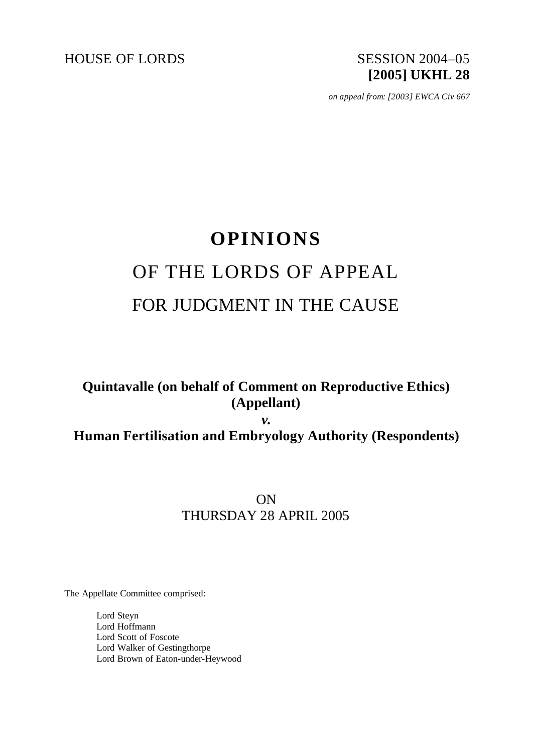

*on appeal from: [2003] EWCA Civ 667*

# **OPINIONS** OF THE LORDS OF APPEAL FOR JUDGMENT IN THE CAUSE

# **Quintavalle (on behalf of Comment on Reproductive Ethics) (Appellant)**

*v.*

# **Human Fertilisation and Embryology Authority (Respondents)**

ON THURSDAY 28 APRIL 2005

The Appellate Committee comprised:

Lord Steyn Lord Hoffmann Lord Scott of Foscote Lord Walker of Gestingthorpe Lord Brown of Eaton-under-Heywood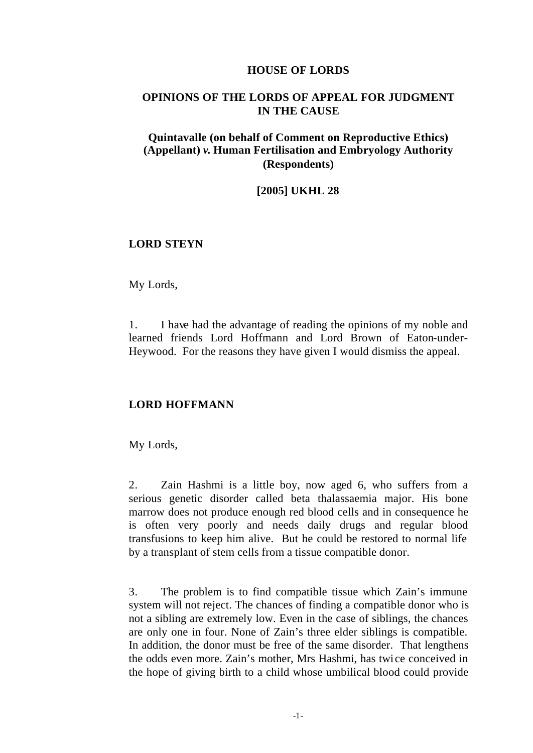#### **HOUSE OF LORDS**

#### **OPINIONS OF THE LORDS OF APPEAL FOR JUDGMENT IN THE CAUSE**

## **Quintavalle (on behalf of Comment on Reproductive Ethics) (Appellant)** *v.* **Human Fertilisation and Embryology Authority (Respondents)**

**[2005] UKHL 28**

#### **LORD STEYN**

My Lords,

1. I have had the advantage of reading the opinions of my noble and learned friends Lord Hoffmann and Lord Brown of Eaton-under-Heywood. For the reasons they have given I would dismiss the appeal.

#### **LORD HOFFMANN**

My Lords,

2. Zain Hashmi is a little boy, now aged 6, who suffers from a serious genetic disorder called beta thalassaemia major. His bone marrow does not produce enough red blood cells and in consequence he is often very poorly and needs daily drugs and regular blood transfusions to keep him alive. But he could be restored to normal life by a transplant of stem cells from a tissue compatible donor.

3. The problem is to find compatible tissue which Zain's immune system will not reject. The chances of finding a compatible donor who is not a sibling are extremely low. Even in the case of siblings, the chances are only one in four. None of Zain's three elder siblings is compatible. In addition, the donor must be free of the same disorder. That lengthens the odds even more. Zain's mother, Mrs Hashmi, has twi ce conceived in the hope of giving birth to a child whose umbilical blood could provide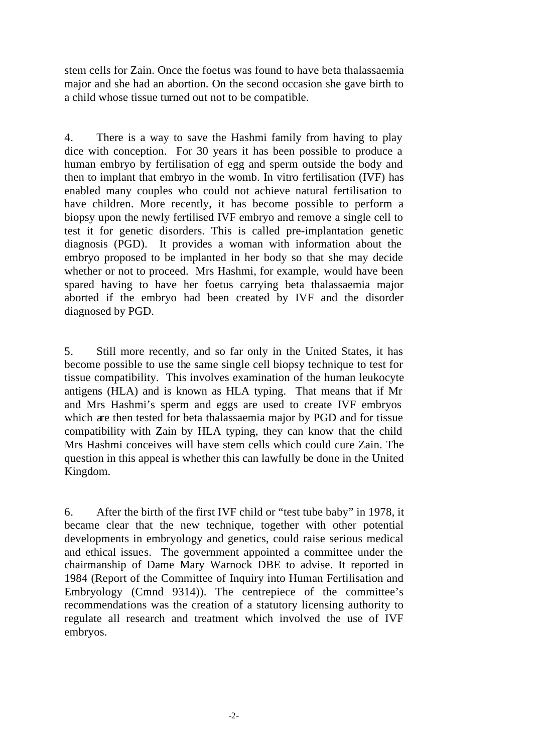stem cells for Zain. Once the foetus was found to have beta thalassaemia major and she had an abortion. On the second occasion she gave birth to a child whose tissue turned out not to be compatible.

4. There is a way to save the Hashmi family from having to play dice with conception. For 30 years it has been possible to produce a human embryo by fertilisation of egg and sperm outside the body and then to implant that embryo in the womb. In vitro fertilisation (IVF) has enabled many couples who could not achieve natural fertilisation to have children. More recently, it has become possible to perform a biopsy upon the newly fertilised IVF embryo and remove a single cell to test it for genetic disorders. This is called pre-implantation genetic diagnosis (PGD). It provides a woman with information about the embryo proposed to be implanted in her body so that she may decide whether or not to proceed. Mrs Hashmi, for example, would have been spared having to have her foetus carrying beta thalassaemia major aborted if the embryo had been created by IVF and the disorder diagnosed by PGD.

5. Still more recently, and so far only in the United States, it has become possible to use the same single cell biopsy technique to test for tissue compatibility. This involves examination of the human leukocyte antigens (HLA) and is known as HLA typing. That means that if Mr and Mrs Hashmi's sperm and eggs are used to create IVF embryos which are then tested for beta thalassaemia major by PGD and for tissue compatibility with Zain by HLA typing, they can know that the child Mrs Hashmi conceives will have stem cells which could cure Zain. The question in this appeal is whether this can lawfully be done in the United Kingdom.

6. After the birth of the first IVF child or "test tube baby" in 1978, it became clear that the new technique, together with other potential developments in embryology and genetics, could raise serious medical and ethical issues. The government appointed a committee under the chairmanship of Dame Mary Warnock DBE to advise. It reported in 1984 (Report of the Committee of Inquiry into Human Fertilisation and Embryology (Cmnd 9314)). The centrepiece of the committee's recommendations was the creation of a statutory licensing authority to regulate all research and treatment which involved the use of IVF embryos.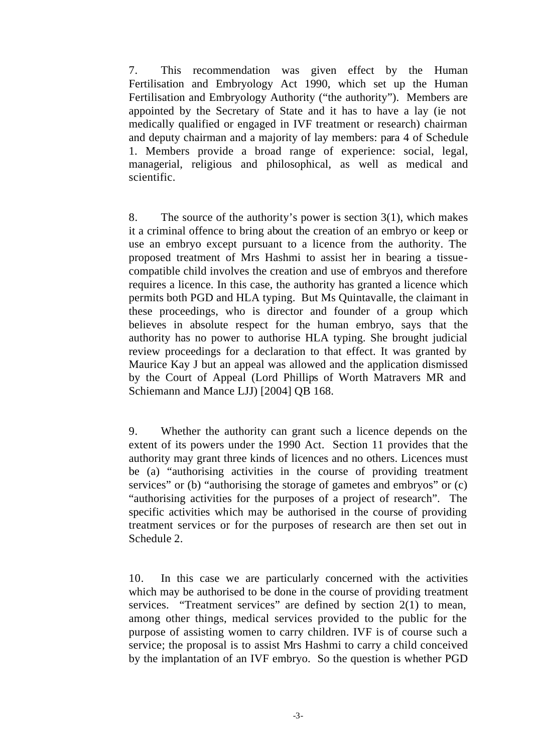7. This recommendation was given effect by the Human Fertilisation and Embryology Act 1990, which set up the Human Fertilisation and Embryology Authority ("the authority"). Members are appointed by the Secretary of State and it has to have a lay (ie not medically qualified or engaged in IVF treatment or research) chairman and deputy chairman and a majority of lay members: para 4 of Schedule 1. Members provide a broad range of experience: social, legal, managerial, religious and philosophical, as well as medical and scientific.

8. The source of the authority's power is section  $3(1)$ , which makes it a criminal offence to bring about the creation of an embryo or keep or use an embryo except pursuant to a licence from the authority. The proposed treatment of Mrs Hashmi to assist her in bearing a tissuecompatible child involves the creation and use of embryos and therefore requires a licence. In this case, the authority has granted a licence which permits both PGD and HLA typing. But Ms Quintavalle, the claimant in these proceedings, who is director and founder of a group which believes in absolute respect for the human embryo, says that the authority has no power to authorise HLA typing. She brought judicial review proceedings for a declaration to that effect. It was granted by Maurice Kay J but an appeal was allowed and the application dismissed by the Court of Appeal (Lord Phillips of Worth Matravers MR and Schiemann and Mance LJJ) [2004] QB 168.

9. Whether the authority can grant such a licence depends on the extent of its powers under the 1990 Act. Section 11 provides that the authority may grant three kinds of licences and no others. Licences must be (a) "authorising activities in the course of providing treatment services" or (b) "authorising the storage of gametes and embryos" or (c) "authorising activities for the purposes of a project of research". The specific activities which may be authorised in the course of providing treatment services or for the purposes of research are then set out in Schedule 2.

10. In this case we are particularly concerned with the activities which may be authorised to be done in the course of providing treatment services. "Treatment services" are defined by section 2(1) to mean, among other things, medical services provided to the public for the purpose of assisting women to carry children. IVF is of course such a service; the proposal is to assist Mrs Hashmi to carry a child conceived by the implantation of an IVF embryo. So the question is whether PGD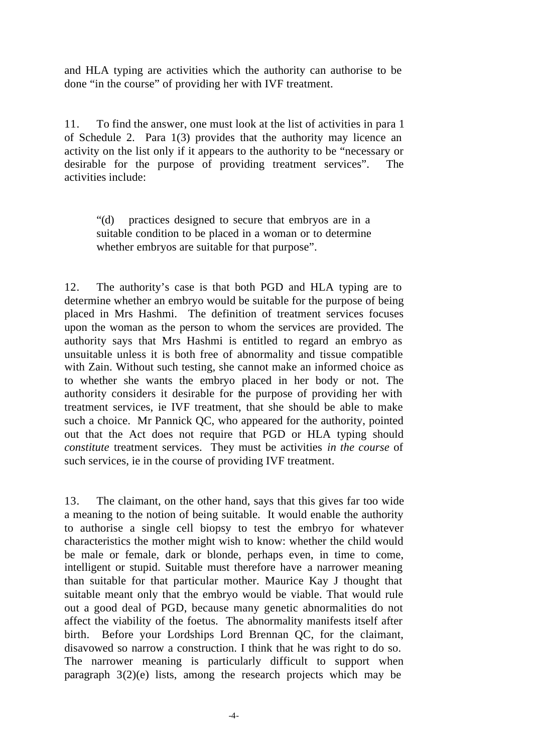and HLA typing are activities which the authority can authorise to be done "in the course" of providing her with IVF treatment.

11. To find the answer, one must look at the list of activities in para 1 of Schedule 2. Para 1(3) provides that the authority may licence an activity on the list only if it appears to the authority to be "necessary or desirable for the purpose of providing treatment services". The activities include:

"(d) practices designed to secure that embryos are in a suitable condition to be placed in a woman or to determine whether embryos are suitable for that purpose".

12. The authority's case is that both PGD and HLA typing are to determine whether an embryo would be suitable for the purpose of being placed in Mrs Hashmi. The definition of treatment services focuses upon the woman as the person to whom the services are provided. The authority says that Mrs Hashmi is entitled to regard an embryo as unsuitable unless it is both free of abnormality and tissue compatible with Zain. Without such testing, she cannot make an informed choice as to whether she wants the embryo placed in her body or not. The authority considers it desirable for the purpose of providing her with treatment services, ie IVF treatment, that she should be able to make such a choice. Mr Pannick QC, who appeared for the authority, pointed out that the Act does not require that PGD or HLA typing should *constitute* treatment services. They must be activities *in the course* of such services, ie in the course of providing IVF treatment.

13. The claimant, on the other hand, says that this gives far too wide a meaning to the notion of being suitable. It would enable the authority to authorise a single cell biopsy to test the embryo for whatever characteristics the mother might wish to know: whether the child would be male or female, dark or blonde, perhaps even, in time to come, intelligent or stupid. Suitable must therefore have a narrower meaning than suitable for that particular mother. Maurice Kay J thought that suitable meant only that the embryo would be viable. That would rule out a good deal of PGD, because many genetic abnormalities do not affect the viability of the foetus. The abnormality manifests itself after birth. Before your Lordships Lord Brennan QC, for the claimant, disavowed so narrow a construction. I think that he was right to do so. The narrower meaning is particularly difficult to support when paragraph 3(2)(e) lists, among the research projects which may be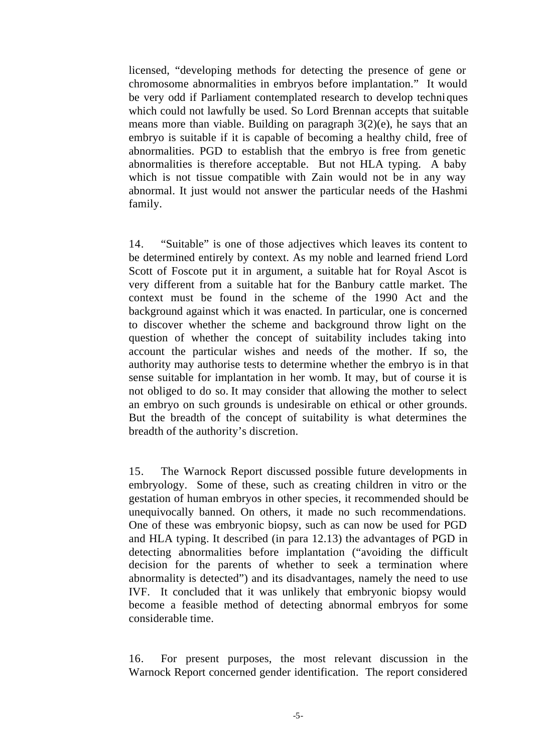licensed, "developing methods for detecting the presence of gene or chromosome abnormalities in embryos before implantation." It would be very odd if Parliament contemplated research to develop techniques which could not lawfully be used. So Lord Brennan accepts that suitable means more than viable. Building on paragraph 3(2)(e), he says that an embryo is suitable if it is capable of becoming a healthy child, free of abnormalities. PGD to establish that the embryo is free from genetic abnormalities is therefore acceptable. But not HLA typing. A baby which is not tissue compatible with Zain would not be in any way abnormal. It just would not answer the particular needs of the Hashmi family.

14. "Suitable" is one of those adjectives which leaves its content to be determined entirely by context. As my noble and learned friend Lord Scott of Foscote put it in argument, a suitable hat for Royal Ascot is very different from a suitable hat for the Banbury cattle market. The context must be found in the scheme of the 1990 Act and the background against which it was enacted. In particular, one is concerned to discover whether the scheme and background throw light on the question of whether the concept of suitability includes taking into account the particular wishes and needs of the mother. If so, the authority may authorise tests to determine whether the embryo is in that sense suitable for implantation in her womb. It may, but of course it is not obliged to do so. It may consider that allowing the mother to select an embryo on such grounds is undesirable on ethical or other grounds. But the breadth of the concept of suitability is what determines the breadth of the authority's discretion.

15. The Warnock Report discussed possible future developments in embryology. Some of these, such as creating children in vitro or the gestation of human embryos in other species, it recommended should be unequivocally banned. On others, it made no such recommendations. One of these was embryonic biopsy, such as can now be used for PGD and HLA typing. It described (in para 12.13) the advantages of PGD in detecting abnormalities before implantation ("avoiding the difficult decision for the parents of whether to seek a termination where abnormality is detected") and its disadvantages, namely the need to use IVF. It concluded that it was unlikely that embryonic biopsy would become a feasible method of detecting abnormal embryos for some considerable time.

16. For present purposes, the most relevant discussion in the Warnock Report concerned gender identification. The report considered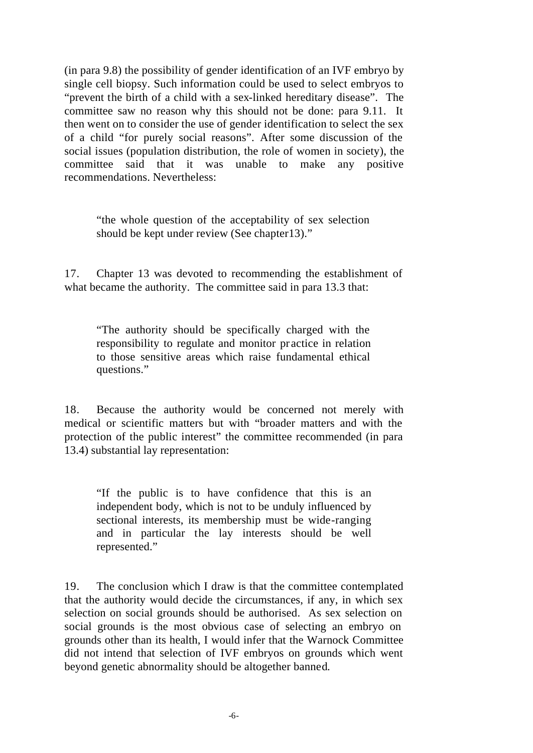(in para 9.8) the possibility of gender identification of an IVF embryo by single cell biopsy. Such information could be used to select embryos to "prevent the birth of a child with a sex-linked hereditary disease". The committee saw no reason why this should not be done: para 9.11. It then went on to consider the use of gender identification to select the sex of a child "for purely social reasons". After some discussion of the social issues (population distribution, the role of women in society), the committee said that it was unable to make any positive recommendations. Nevertheless:

"the whole question of the acceptability of sex selection should be kept under review (See chapter13)."

17. Chapter 13 was devoted to recommending the establishment of what became the authority. The committee said in para 13.3 that:

"The authority should be specifically charged with the responsibility to regulate and monitor pr actice in relation to those sensitive areas which raise fundamental ethical questions."

18. Because the authority would be concerned not merely with medical or scientific matters but with "broader matters and with the protection of the public interest" the committee recommended (in para 13.4) substantial lay representation:

"If the public is to have confidence that this is an independent body, which is not to be unduly influenced by sectional interests, its membership must be wide-ranging and in particular the lay interests should be well represented."

19. The conclusion which I draw is that the committee contemplated that the authority would decide the circumstances, if any, in which sex selection on social grounds should be authorised. As sex selection on social grounds is the most obvious case of selecting an embryo on grounds other than its health, I would infer that the Warnock Committee did not intend that selection of IVF embryos on grounds which went beyond genetic abnormality should be altogether banned.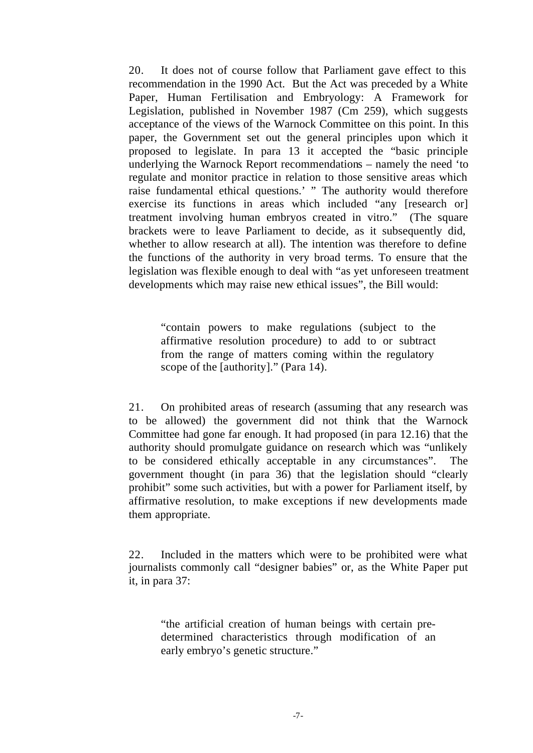20. It does not of course follow that Parliament gave effect to this recommendation in the 1990 Act. But the Act was preceded by a White Paper, Human Fertilisation and Embryology: A Framework for Legislation, published in November 1987 (Cm 259), which suggests acceptance of the views of the Warnock Committee on this point. In this paper, the Government set out the general principles upon which it proposed to legislate. In para 13 it accepted the "basic principle underlying the Warnock Report recommendations – namely the need 'to regulate and monitor practice in relation to those sensitive areas which raise fundamental ethical questions.' " The authority would therefore exercise its functions in areas which included "any [research or] treatment involving human embryos created in vitro." (The square brackets were to leave Parliament to decide, as it subsequently did. whether to allow research at all). The intention was therefore to define the functions of the authority in very broad terms. To ensure that the legislation was flexible enough to deal with "as yet unforeseen treatment developments which may raise new ethical issues", the Bill would:

"contain powers to make regulations (subject to the affirmative resolution procedure) to add to or subtract from the range of matters coming within the regulatory scope of the [authority]." (Para 14).

21. On prohibited areas of research (assuming that any research was to be allowed) the government did not think that the Warnock Committee had gone far enough. It had proposed (in para 12.16) that the authority should promulgate guidance on research which was "unlikely to be considered ethically acceptable in any circumstances". The government thought (in para 36) that the legislation should "clearly prohibit" some such activities, but with a power for Parliament itself, by affirmative resolution, to make exceptions if new developments made them appropriate.

22. Included in the matters which were to be prohibited were what journalists commonly call "designer babies" or, as the White Paper put it, in para 37:

"the artificial creation of human beings with certain predetermined characteristics through modification of an early embryo's genetic structure."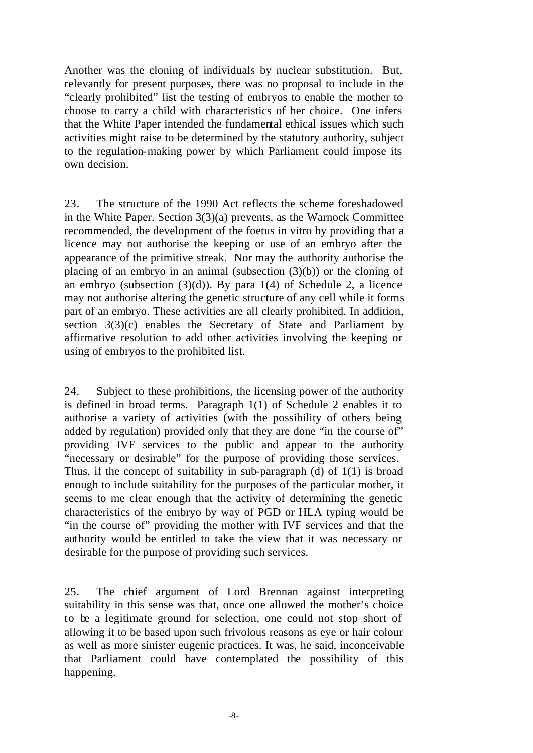Another was the cloning of individuals by nuclear substitution. But, relevantly for present purposes, there was no proposal to include in the "clearly prohibited" list the testing of embryos to enable the mother to choose to carry a child with characteristics of her choice. One infers that the White Paper intended the fundamental ethical issues which such activities might raise to be determined by the statutory authority, subject to the regulation-making power by which Parliament could impose its own decision.

23. The structure of the 1990 Act reflects the scheme foreshadowed in the White Paper. Section 3(3)(a) prevents, as the Warnock Committee recommended, the development of the foetus in vitro by providing that a licence may not authorise the keeping or use of an embryo after the appearance of the primitive streak. Nor may the authority authorise the placing of an embryo in an animal (subsection  $(3)(b)$ ) or the cloning of an embryo (subsection  $(3)(d)$ ). By para  $1(4)$  of Schedule 2, a licence may not authorise altering the genetic structure of any cell while it forms part of an embryo. These activities are all clearly prohibited. In addition, section 3(3)(c) enables the Secretary of State and Parliament by affirmative resolution to add other activities involving the keeping or using of embryos to the prohibited list.

24. Subject to these prohibitions, the licensing power of the authority is defined in broad terms. Paragraph 1(1) of Schedule 2 enables it to authorise a variety of activities (with the possibility of others being added by regulation) provided only that they are done "in the course of" providing IVF services to the public and appear to the authority "necessary or desirable" for the purpose of providing those services. Thus, if the concept of suitability in sub-paragraph (d) of  $1(1)$  is broad enough to include suitability for the purposes of the particular mother, it seems to me clear enough that the activity of determining the genetic characteristics of the embryo by way of PGD or HLA typing would be "in the course of" providing the mother with IVF services and that the authority would be entitled to take the view that it was necessary or desirable for the purpose of providing such services.

25. The chief argument of Lord Brennan against interpreting suitability in this sense was that, once one allowed the mother's choice to be a legitimate ground for selection, one could not stop short of allowing it to be based upon such frivolous reasons as eye or hair colour as well as more sinister eugenic practices. It was, he said, inconceivable that Parliament could have contemplated the possibility of this happening.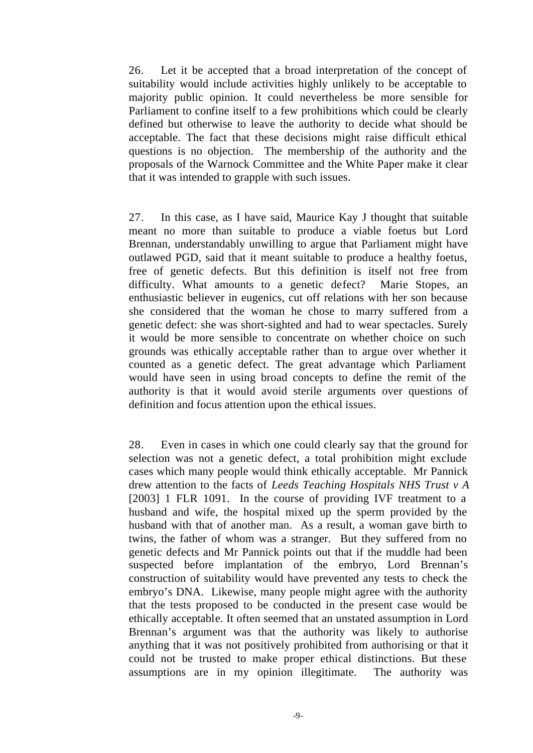26. Let it be accepted that a broad interpretation of the concept of suitability would include activities highly unlikely to be acceptable to majority public opinion. It could nevertheless be more sensible for Parliament to confine itself to a few prohibitions which could be clearly defined but otherwise to leave the authority to decide what should be acceptable. The fact that these decisions might raise difficult ethical questions is no objection. The membership of the authority and the proposals of the Warnock Committee and the White Paper make it clear that it was intended to grapple with such issues.

27. In this case, as I have said, Maurice Kay J thought that suitable meant no more than suitable to produce a viable foetus but Lord Brennan, understandably unwilling to argue that Parliament might have outlawed PGD, said that it meant suitable to produce a healthy foetus, free of genetic defects. But this definition is itself not free from difficulty. What amounts to a genetic defect? Marie Stopes, an enthusiastic believer in eugenics, cut off relations with her son because she considered that the woman he chose to marry suffered from a genetic defect: she was short-sighted and had to wear spectacles. Surely it would be more sensible to concentrate on whether choice on such grounds was ethically acceptable rather than to argue over whether it counted as a genetic defect. The great advantage which Parliament would have seen in using broad concepts to define the remit of the authority is that it would avoid sterile arguments over questions of definition and focus attention upon the ethical issues.

28. Even in cases in which one could clearly say that the ground for selection was not a genetic defect, a total prohibition might exclude cases which many people would think ethically acceptable. Mr Pannick drew attention to the facts of *Leeds Teaching Hospitals NHS Trust v A* [2003] 1 FLR 1091. In the course of providing IVF treatment to a husband and wife, the hospital mixed up the sperm provided by the husband with that of another man. As a result, a woman gave birth to twins, the father of whom was a stranger. But they suffered from no genetic defects and Mr Pannick points out that if the muddle had been suspected before implantation of the embryo, Lord Brennan's construction of suitability would have prevented any tests to check the embryo's DNA. Likewise, many people might agree with the authority that the tests proposed to be conducted in the present case would be ethically acceptable. It often seemed that an unstated assumption in Lord Brennan's argument was that the authority was likely to authorise anything that it was not positively prohibited from authorising or that it could not be trusted to make proper ethical distinctions. But these assumptions are in my opinion illegitimate. The authority was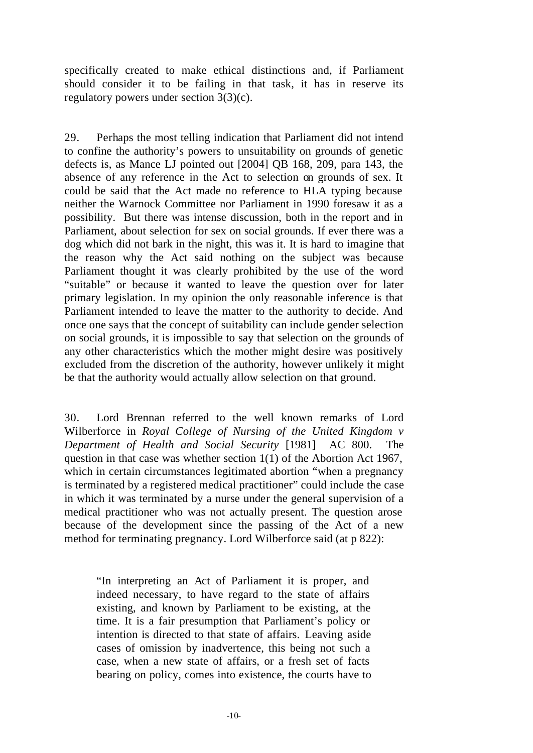specifically created to make ethical distinctions and, if Parliament should consider it to be failing in that task, it has in reserve its regulatory powers under section 3(3)(c).

29. Perhaps the most telling indication that Parliament did not intend to confine the authority's powers to unsuitability on grounds of genetic defects is, as Mance LJ pointed out [2004] QB 168, 209, para 143, the absence of any reference in the Act to selection on grounds of sex. It could be said that the Act made no reference to HLA typing because neither the Warnock Committee nor Parliament in 1990 foresaw it as a possibility. But there was intense discussion, both in the report and in Parliament, about selection for sex on social grounds. If ever there was a dog which did not bark in the night, this was it. It is hard to imagine that the reason why the Act said nothing on the subject was because Parliament thought it was clearly prohibited by the use of the word "suitable" or because it wanted to leave the question over for later primary legislation. In my opinion the only reasonable inference is that Parliament intended to leave the matter to the authority to decide. And once one says that the concept of suitability can include gender selection on social grounds, it is impossible to say that selection on the grounds of any other characteristics which the mother might desire was positively excluded from the discretion of the authority, however unlikely it might be that the authority would actually allow selection on that ground.

30. Lord Brennan referred to the well known remarks of Lord Wilberforce in *Royal College of Nursing of the United Kingdom v Department of Health and Social Security* [1981] AC 800. The question in that case was whether section 1(1) of the Abortion Act 1967, which in certain circumstances legitimated abortion "when a pregnancy is terminated by a registered medical practitioner" could include the case in which it was terminated by a nurse under the general supervision of a medical practitioner who was not actually present. The question arose because of the development since the passing of the Act of a new method for terminating pregnancy. Lord Wilberforce said (at p 822):

"In interpreting an Act of Parliament it is proper, and indeed necessary, to have regard to the state of affairs existing, and known by Parliament to be existing, at the time. It is a fair presumption that Parliament's policy or intention is directed to that state of affairs. Leaving aside cases of omission by inadvertence, this being not such a case, when a new state of affairs, or a fresh set of facts bearing on policy, comes into existence, the courts have to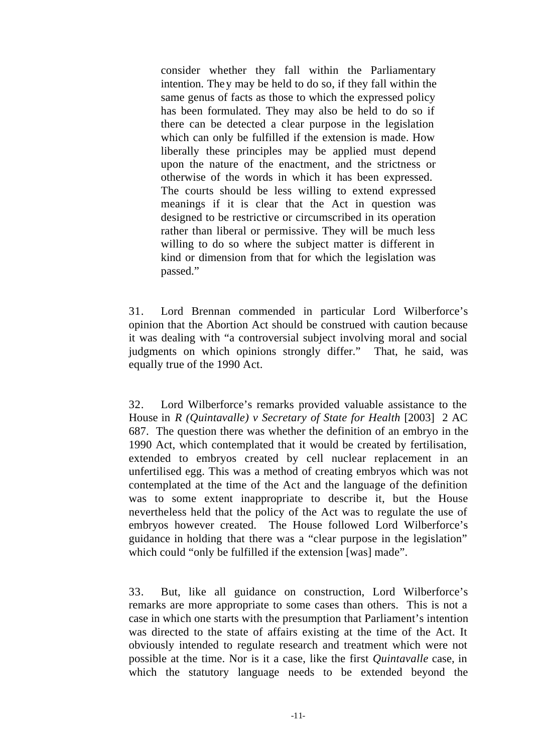consider whether they fall within the Parliamentary intention. They may be held to do so, if they fall within the same genus of facts as those to which the expressed policy has been formulated. They may also be held to do so if there can be detected a clear purpose in the legislation which can only be fulfilled if the extension is made. How liberally these principles may be applied must depend upon the nature of the enactment, and the strictness or otherwise of the words in which it has been expressed. The courts should be less willing to extend expressed meanings if it is clear that the Act in question was designed to be restrictive or circumscribed in its operation rather than liberal or permissive. They will be much less willing to do so where the subject matter is different in kind or dimension from that for which the legislation was passed."

31. Lord Brennan commended in particular Lord Wilberforce's opinion that the Abortion Act should be construed with caution because it was dealing with "a controversial subject involving moral and social judgments on which opinions strongly differ." That, he said, was equally true of the 1990 Act.

32. Lord Wilberforce's remarks provided valuable assistance to the House in *R (Quintavalle) v Secretary of State for Health* [2003] 2 AC 687. The question there was whether the definition of an embryo in the 1990 Act, which contemplated that it would be created by fertilisation, extended to embryos created by cell nuclear replacement in an unfertilised egg. This was a method of creating embryos which was not contemplated at the time of the Act and the language of the definition was to some extent inappropriate to describe it, but the House nevertheless held that the policy of the Act was to regulate the use of embryos however created. The House followed Lord Wilberforce's guidance in holding that there was a "clear purpose in the legislation" which could "only be fulfilled if the extension [was] made".

33. But, like all guidance on construction, Lord Wilberforce's remarks are more appropriate to some cases than others. This is not a case in which one starts with the presumption that Parliament's intention was directed to the state of affairs existing at the time of the Act. It obviously intended to regulate research and treatment which were not possible at the time. Nor is it a case, like the first *Quintavalle* case, in which the statutory language needs to be extended beyond the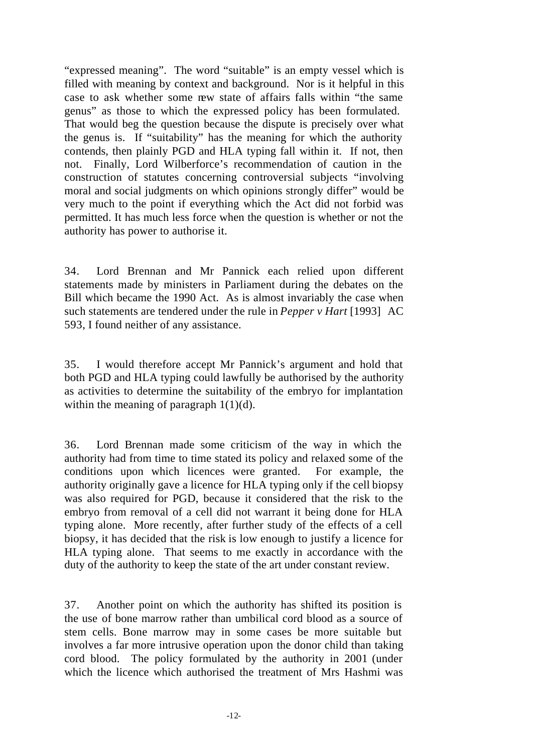"expressed meaning". The word "suitable" is an empty vessel which is filled with meaning by context and background. Nor is it helpful in this case to ask whether some new state of affairs falls within "the same genus" as those to which the expressed policy has been formulated. That would beg the question because the dispute is precisely over what the genus is. If "suitability" has the meaning for which the authority contends, then plainly PGD and HLA typing fall within it. If not, then not. Finally, Lord Wilberforce's recommendation of caution in the construction of statutes concerning controversial subjects "involving moral and social judgments on which opinions strongly differ" would be very much to the point if everything which the Act did not forbid was permitted. It has much less force when the question is whether or not the authority has power to authorise it.

34. Lord Brennan and Mr Pannick each relied upon different statements made by ministers in Parliament during the debates on the Bill which became the 1990 Act. As is almost invariably the case when such statements are tendered under the rule in *Pepper v Hart* [1993] AC 593, I found neither of any assistance.

35. I would therefore accept Mr Pannick's argument and hold that both PGD and HLA typing could lawfully be authorised by the authority as activities to determine the suitability of the embryo for implantation within the meaning of paragraph  $1(1)(d)$ .

36. Lord Brennan made some criticism of the way in which the authority had from time to time stated its policy and relaxed some of the conditions upon which licences were granted. For example, the authority originally gave a licence for HLA typing only if the cell biopsy was also required for PGD, because it considered that the risk to the embryo from removal of a cell did not warrant it being done for HLA typing alone. More recently, after further study of the effects of a cell biopsy, it has decided that the risk is low enough to justify a licence for HLA typing alone. That seems to me exactly in accordance with the duty of the authority to keep the state of the art under constant review.

37. Another point on which the authority has shifted its position is the use of bone marrow rather than umbilical cord blood as a source of stem cells. Bone marrow may in some cases be more suitable but involves a far more intrusive operation upon the donor child than taking cord blood. The policy formulated by the authority in 2001 (under which the licence which authorised the treatment of Mrs Hashmi was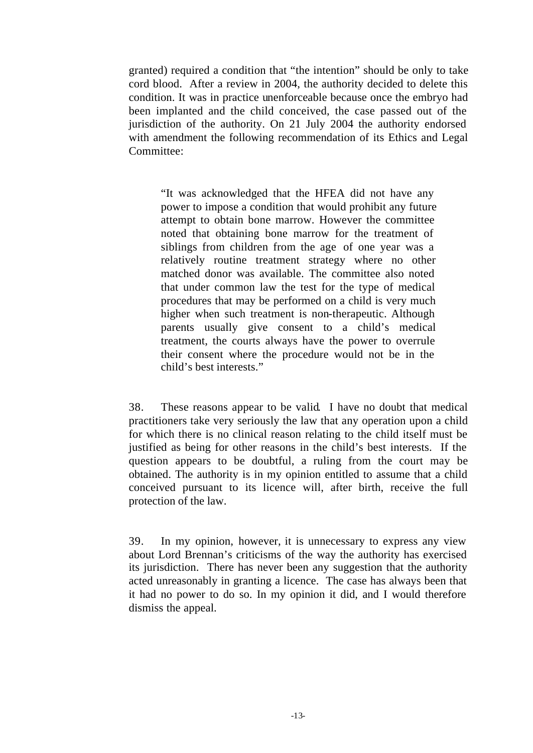granted) required a condition that "the intention" should be only to take cord blood. After a review in 2004, the authority decided to delete this condition. It was in practice unenforceable because once the embryo had been implanted and the child conceived, the case passed out of the jurisdiction of the authority. On 21 July 2004 the authority endorsed with amendment the following recommendation of its Ethics and Legal Committee:

"It was acknowledged that the HFEA did not have any power to impose a condition that would prohibit any future attempt to obtain bone marrow. However the committee noted that obtaining bone marrow for the treatment of siblings from children from the age of one year was a relatively routine treatment strategy where no other matched donor was available. The committee also noted that under common law the test for the type of medical procedures that may be performed on a child is very much higher when such treatment is non-therapeutic. Although parents usually give consent to a child's medical treatment, the courts always have the power to overrule their consent where the procedure would not be in the child's best interests."

38. These reasons appear to be valid. I have no doubt that medical practitioners take very seriously the law that any operation upon a child for which there is no clinical reason relating to the child itself must be justified as being for other reasons in the child's best interests. If the question appears to be doubtful, a ruling from the court may be obtained. The authority is in my opinion entitled to assume that a child conceived pursuant to its licence will, after birth, receive the full protection of the law.

39. In my opinion, however, it is unnecessary to express any view about Lord Brennan's criticisms of the way the authority has exercised its jurisdiction. There has never been any suggestion that the authority acted unreasonably in granting a licence. The case has always been that it had no power to do so. In my opinion it did, and I would therefore dismiss the appeal.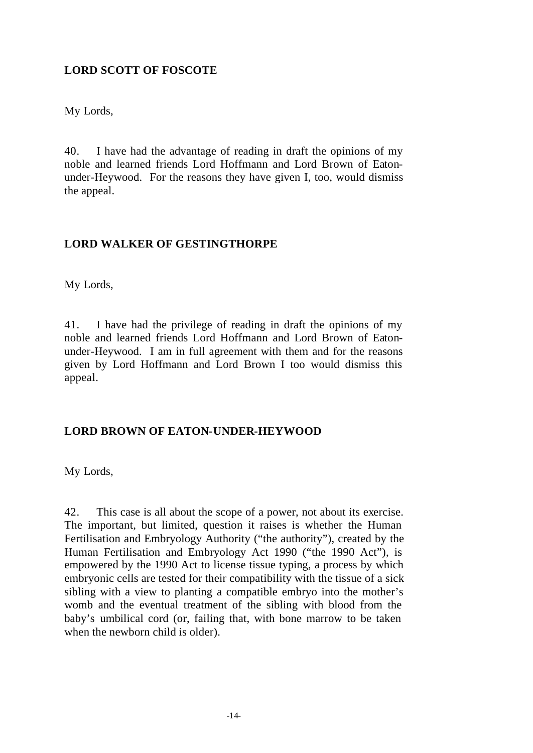# **LORD SCOTT OF FOSCOTE**

My Lords,

40. I have had the advantage of reading in draft the opinions of my noble and learned friends Lord Hoffmann and Lord Brown of Eatonunder-Heywood. For the reasons they have given I, too, would dismiss the appeal.

## **LORD WALKER OF GESTINGTHORPE**

My Lords,

41. I have had the privilege of reading in draft the opinions of my noble and learned friends Lord Hoffmann and Lord Brown of Eatonunder-Heywood. I am in full agreement with them and for the reasons given by Lord Hoffmann and Lord Brown I too would dismiss this appeal.

## **LORD BROWN OF EATON-UNDER-HEYWOOD**

My Lords,

42. This case is all about the scope of a power, not about its exercise. The important, but limited, question it raises is whether the Human Fertilisation and Embryology Authority ("the authority"), created by the Human Fertilisation and Embryology Act 1990 ("the 1990 Act"), is empowered by the 1990 Act to license tissue typing, a process by which embryonic cells are tested for their compatibility with the tissue of a sick sibling with a view to planting a compatible embryo into the mother's womb and the eventual treatment of the sibling with blood from the baby's umbilical cord (or, failing that, with bone marrow to be taken when the newborn child is older).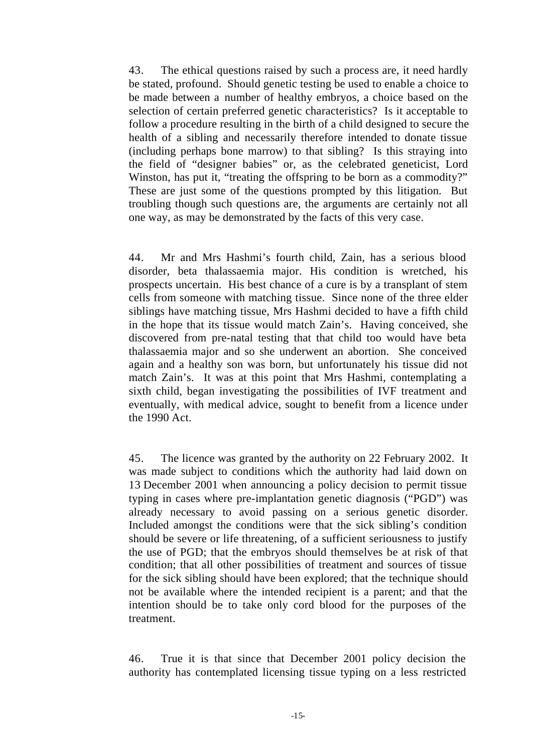43. The ethical questions raised by such a process are, it need hardly be stated, profound. Should genetic testing be used to enable a choice to be made between a number of healthy embryos, a choice based on the selection of certain preferred genetic characteristics? Is it acceptable to follow a procedure resulting in the birth of a child designed to secure the health of a sibling and necessarily therefore intended to donate tissue (including perhaps bone marrow) to that sibling? Is this straying into the field of "designer babies" or, as the celebrated geneticist, Lord Winston, has put it, "treating the offspring to be born as a commodity?" These are just some of the questions prompted by this litigation. But troubling though such questions are, the arguments are certainly not all one way, as may be demonstrated by the facts of this very case.

44. Mr and Mrs Hashmi's fourth child, Zain, has a serious blood disorder, beta thalassaemia major. His condition is wretched, his prospects uncertain. His best chance of a cure is by a transplant of stem cells from someone with matching tissue. Since none of the three elder siblings have matching tissue, Mrs Hashmi decided to have a fifth child in the hope that its tissue would match Zain's. Having conceived, she discovered from pre-natal testing that that child too would have beta thalassaemia major and so she underwent an abortion. She conceived again and a healthy son was born, but unfortunately his tissue did not match Zain's. It was at this point that Mrs Hashmi, contemplating a sixth child, began investigating the possibilities of IVF treatment and eventually, with medical advice, sought to benefit from a licence under the 1990 Act.

45. The licence was granted by the authority on 22 February 2002. It was made subject to conditions which the authority had laid down on 13 December 2001 when announcing a policy decision to permit tissue typing in cases where pre-implantation genetic diagnosis ("PGD") was already necessary to avoid passing on a serious genetic disorder. Included amongst the conditions were that the sick sibling's condition should be severe or life threatening, of a sufficient seriousness to justify the use of PGD; that the embryos should themselves be at risk of that condition; that all other possibilities of treatment and sources of tissue for the sick sibling should have been explored; that the technique should not be available where the intended recipient is a parent; and that the intention should be to take only cord blood for the purposes of the treatment.

46. True it is that since that December 2001 policy decision the authority has contemplated licensing tissue typing on a less restricted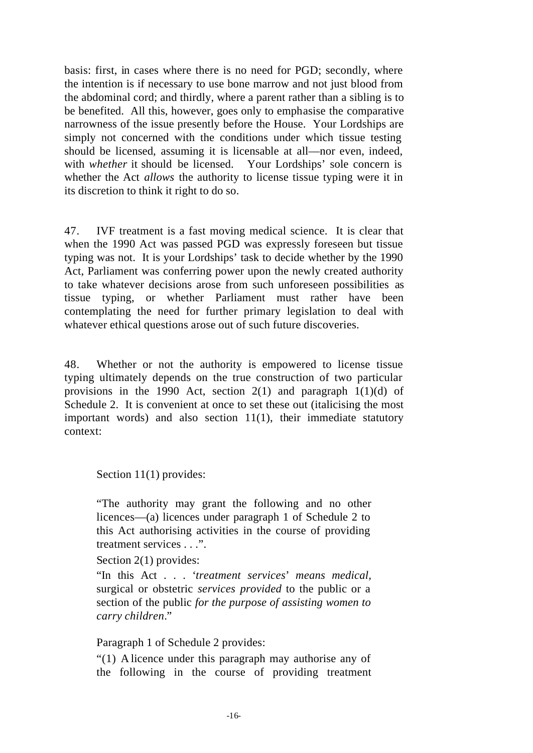basis: first, in cases where there is no need for PGD; secondly, where the intention is if necessary to use bone marrow and not just blood from the abdominal cord; and thirdly, where a parent rather than a sibling is to be benefited. All this, however, goes only to emphasise the comparative narrowness of the issue presently before the House. Your Lordships are simply not concerned with the conditions under which tissue testing should be licensed, assuming it is licensable at all—nor even, indeed, with *whether* it should be licensed. Your Lordships' sole concern is whether the Act *allows* the authority to license tissue typing were it in its discretion to think it right to do so.

47. IVF treatment is a fast moving medical science. It is clear that when the 1990 Act was passed PGD was expressly foreseen but tissue typing was not. It is your Lordships' task to decide whether by the 1990 Act, Parliament was conferring power upon the newly created authority to take whatever decisions arose from such unforeseen possibilities as tissue typing, or whether Parliament must rather have been contemplating the need for further primary legislation to deal with whatever ethical questions arose out of such future discoveries.

48. Whether or not the authority is empowered to license tissue typing ultimately depends on the true construction of two particular provisions in the 1990 Act, section  $2(1)$  and paragraph  $1(1)(d)$  of Schedule 2. It is convenient at once to set these out (italicising the most important words) and also section 11(1), their immediate statutory context:

Section 11(1) provides:

"The authority may grant the following and no other licences—(a) licences under paragraph 1 of Schedule 2 to this Act authorising activities in the course of providing treatment services . . .".

Section 2(1) provides:

"In this Act . . . '*treatment services*' *means medical,* surgical or obstetric *services provided* to the public or a section of the public *for the purpose of assisting women to carry children*."

Paragraph 1 of Schedule 2 provides:

"(1) A licence under this paragraph may authorise any of the following in the course of providing treatment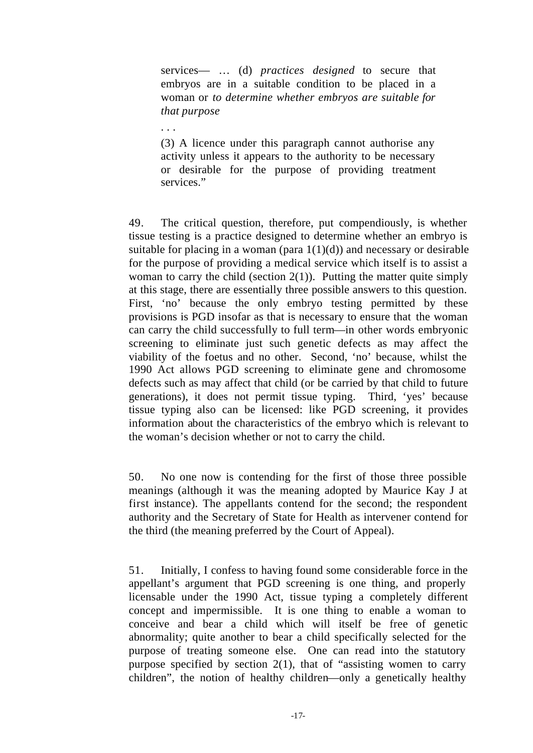services— … (d) *practices designed* to secure that embryos are in a suitable condition to be placed in a woman or *to determine whether embryos are suitable for that purpose*

. . .

(3) A licence under this paragraph cannot authorise any activity unless it appears to the authority to be necessary or desirable for the purpose of providing treatment services."

49. The critical question, therefore, put compendiously, is whether tissue testing is a practice designed to determine whether an embryo is suitable for placing in a woman (para  $1(1)(d)$ ) and necessary or desirable for the purpose of providing a medical service which itself is to assist a woman to carry the child (section  $2(1)$ ). Putting the matter quite simply at this stage, there are essentially three possible answers to this question. First, 'no' because the only embryo testing permitted by these provisions is PGD insofar as that is necessary to ensure that the woman can carry the child successfully to full term—in other words embryonic screening to eliminate just such genetic defects as may affect the viability of the foetus and no other. Second, 'no' because, whilst the 1990 Act allows PGD screening to eliminate gene and chromosome defects such as may affect that child (or be carried by that child to future generations), it does not permit tissue typing. Third, 'yes' because tissue typing also can be licensed: like PGD screening, it provides information about the characteristics of the embryo which is relevant to the woman's decision whether or not to carry the child.

50. No one now is contending for the first of those three possible meanings (although it was the meaning adopted by Maurice Kay J at first instance). The appellants contend for the second; the respondent authority and the Secretary of State for Health as intervener contend for the third (the meaning preferred by the Court of Appeal).

51. Initially, I confess to having found some considerable force in the appellant's argument that PGD screening is one thing, and properly licensable under the 1990 Act, tissue typing a completely different concept and impermissible. It is one thing to enable a woman to conceive and bear a child which will itself be free of genetic abnormality; quite another to bear a child specifically selected for the purpose of treating someone else. One can read into the statutory purpose specified by section 2(1), that of "assisting women to carry children", the notion of healthy children—only a genetically healthy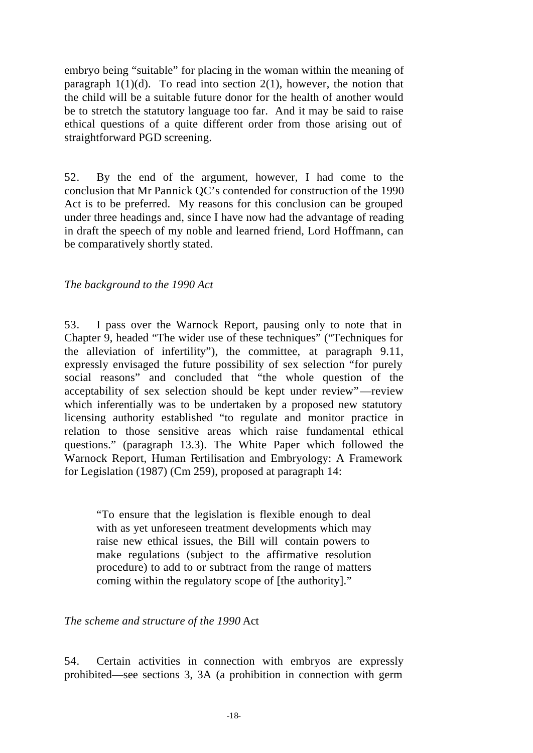embryo being "suitable" for placing in the woman within the meaning of paragraph  $1(1)(d)$ . To read into section  $2(1)$ , however, the notion that the child will be a suitable future donor for the health of another would be to stretch the statutory language too far. And it may be said to raise ethical questions of a quite different order from those arising out of straightforward PGD screening.

52. By the end of the argument, however, I had come to the conclusion that Mr Pannick QC's contended for construction of the 1990 Act is to be preferred. My reasons for this conclusion can be grouped under three headings and, since I have now had the advantage of reading in draft the speech of my noble and learned friend, Lord Hoffmann, can be comparatively shortly stated.

#### *The background to the 1990 Act*

53. I pass over the Warnock Report, pausing only to note that in Chapter 9, headed "The wider use of these techniques" ("Techniques for the alleviation of infertility"), the committee, at paragraph 9.11, expressly envisaged the future possibility of sex selection "for purely social reasons" and concluded that "the whole question of the acceptability of sex selection should be kept under review"—review which inferentially was to be undertaken by a proposed new statutory licensing authority established "to regulate and monitor practice in relation to those sensitive areas which raise fundamental ethical questions." (paragraph 13.3). The White Paper which followed the Warnock Report, Human Fertilisation and Embryology: A Framework for Legislation (1987) (Cm 259), proposed at paragraph 14:

"To ensure that the legislation is flexible enough to deal with as yet unforeseen treatment developments which may raise new ethical issues, the Bill will contain powers to make regulations (subject to the affirmative resolution procedure) to add to or subtract from the range of matters coming within the regulatory scope of [the authority]."

#### *The scheme and structure of the 1990* Act

54. Certain activities in connection with embryos are expressly prohibited—see sections 3, 3A (a prohibition in connection with germ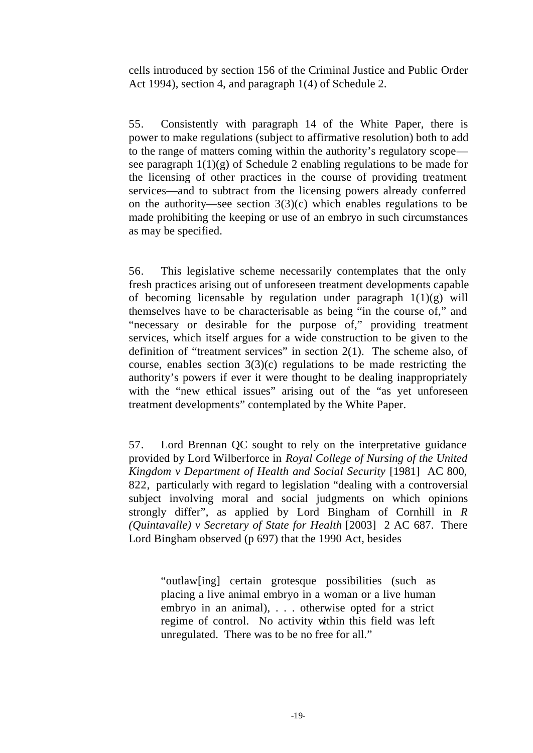cells introduced by section 156 of the Criminal Justice and Public Order Act 1994), section 4, and paragraph 1(4) of Schedule 2.

55. Consistently with paragraph 14 of the White Paper, there is power to make regulations (subject to affirmative resolution) both to add to the range of matters coming within the authority's regulatory scope see paragraph  $1(1)(g)$  of Schedule 2 enabling regulations to be made for the licensing of other practices in the course of providing treatment services—and to subtract from the licensing powers already conferred on the authority—see section  $3(3)(c)$  which enables regulations to be made prohibiting the keeping or use of an embryo in such circumstances as may be specified.

56. This legislative scheme necessarily contemplates that the only fresh practices arising out of unforeseen treatment developments capable of becoming licensable by regulation under paragraph  $1(1)(g)$  will themselves have to be characterisable as being "in the course of," and "necessary or desirable for the purpose of," providing treatment services, which itself argues for a wide construction to be given to the definition of "treatment services" in section 2(1). The scheme also, of course, enables section  $3(3)(c)$  regulations to be made restricting the authority's powers if ever it were thought to be dealing inappropriately with the "new ethical issues" arising out of the "as yet unforeseen treatment developments" contemplated by the White Paper.

57. Lord Brennan QC sought to rely on the interpretative guidance provided by Lord Wilberforce in *Royal College of Nursing of the United Kingdom v Department of Health and Social Security* [1981] AC 800, 822, particularly with regard to legislation "dealing with a controversial subject involving moral and social judgments on which opinions strongly differ", as applied by Lord Bingham of Cornhill in *R (Quintavalle) v Secretary of State for Health* [2003] 2 AC 687. There Lord Bingham observed (p 697) that the 1990 Act, besides

"outlaw[ing] certain grotesque possibilities (such as placing a live animal embryo in a woman or a live human embryo in an animal), . . . otherwise opted for a strict regime of control. No activity within this field was left unregulated. There was to be no free for all."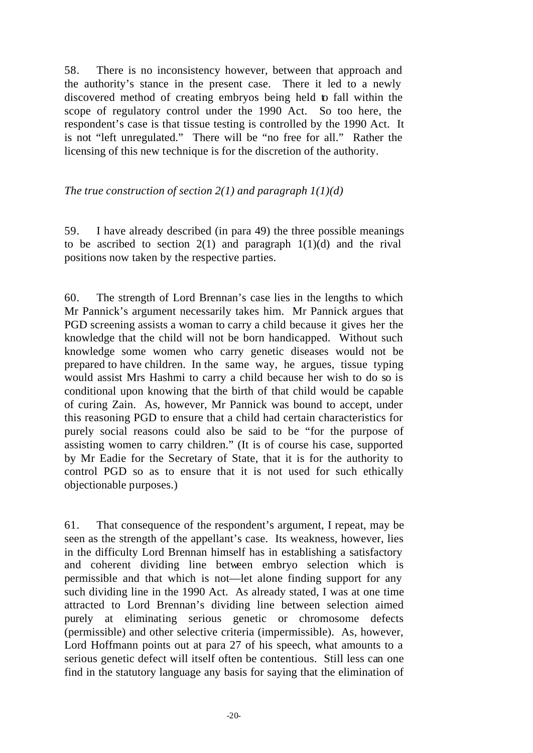58. There is no inconsistency however, between that approach and the authority's stance in the present case. There it led to a newly discovered method of creating embryos being held to fall within the scope of regulatory control under the 1990 Act. So too here, the respondent's case is that tissue testing is controlled by the 1990 Act. It is not "left unregulated." There will be "no free for all." Rather the licensing of this new technique is for the discretion of the authority.

#### *The true construction of section 2(1) and paragraph 1(1)(d)*

59. I have already described (in para 49) the three possible meanings to be ascribed to section  $2(1)$  and paragraph  $1(1)(d)$  and the rival positions now taken by the respective parties.

60. The strength of Lord Brennan's case lies in the lengths to which Mr Pannick's argument necessarily takes him. Mr Pannick argues that PGD screening assists a woman to carry a child because it gives her the knowledge that the child will not be born handicapped. Without such knowledge some women who carry genetic diseases would not be prepared to have children. In the same way, he argues, tissue typing would assist Mrs Hashmi to carry a child because her wish to do so is conditional upon knowing that the birth of that child would be capable of curing Zain. As, however, Mr Pannick was bound to accept, under this reasoning PGD to ensure that a child had certain characteristics for purely social reasons could also be said to be "for the purpose of assisting women to carry children." (It is of course his case, supported by Mr Eadie for the Secretary of State, that it is for the authority to control PGD so as to ensure that it is not used for such ethically objectionable purposes.)

61. That consequence of the respondent's argument, I repeat, may be seen as the strength of the appellant's case. Its weakness, however, lies in the difficulty Lord Brennan himself has in establishing a satisfactory and coherent dividing line between embryo selection which is permissible and that which is not—let alone finding support for any such dividing line in the 1990 Act. As already stated, I was at one time attracted to Lord Brennan's dividing line between selection aimed purely at eliminating serious genetic or chromosome defects (permissible) and other selective criteria (impermissible). As, however, Lord Hoffmann points out at para 27 of his speech, what amounts to a serious genetic defect will itself often be contentious. Still less can one find in the statutory language any basis for saying that the elimination of